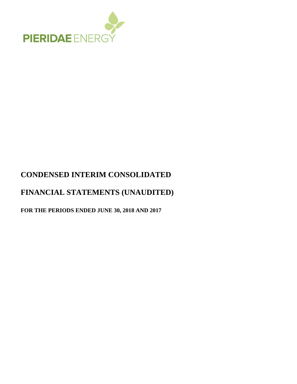

# **CONDENSED INTERIM CONSOLIDATED**

# **FINANCIAL STATEMENTS (UNAUDITED)**

**FOR THE PERIODS ENDED JUNE 30, 2018 AND 2017**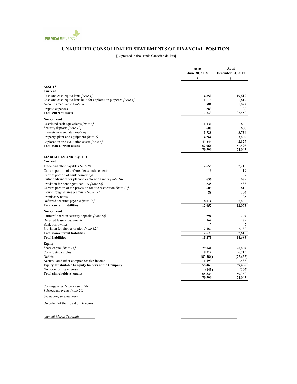

### UNAUDITED CONSOLIDATED STATEMENTS OF FINANCIAL POSITION

[Expressed in thousands Canadian dollars]

|                                                                                                  | As at<br>June 30, 2018 | As at<br>December 31, 2017 |
|--------------------------------------------------------------------------------------------------|------------------------|----------------------------|
|                                                                                                  | \$                     | $\mathbb{S}$               |
| <b>ASSETS</b>                                                                                    |                        |                            |
| Current                                                                                          |                        |                            |
| Cash and cash equivalents [note 4]                                                               | 14,650                 | 19,619                     |
| Cash and cash equivalents held for exploration purposes [note 4]<br>Accounts receivable [note 5] | 1,519                  | 1,619                      |
| Prepaid expenses                                                                                 | 881<br>583             | 1,092<br>122               |
| <b>Total current assets</b>                                                                      | 17,633                 | 22,452                     |
|                                                                                                  |                        |                            |
| Non-current                                                                                      |                        |                            |
| Restricted cash equivalents [note 4]                                                             | 1,130                  | 630                        |
| Security deposits [note 12]                                                                      | 600                    | 600                        |
| Interests in associates [note 6]                                                                 | 3,728                  | 3,734                      |
| Property, plant and equipment [note 7]                                                           | 4,264                  | 3,802                      |
| Exploration and evaluation assets [note 8]                                                       | 43,244                 | 42,827                     |
| <b>Total non-current assets</b>                                                                  | 52,966                 | 51,593                     |
|                                                                                                  | 70,599                 | 74,045                     |
| <b>LIABILITIES AND EQUITY</b>                                                                    |                        |                            |
| Current                                                                                          |                        |                            |
| Trade and other payables [note 9]                                                                | 2,655                  | 2,210                      |
| Current portion of deferred lease inducements                                                    | 19                     | 19                         |
| Current portion of bank borrowings                                                               | $\overline{7}$         | $\tau$                     |
| Partner advances for planned exploration work [note 10]                                          | 656                    | 679                        |
| Provision for contingent liability [note 12]                                                     | 528                    | 583                        |
| Current portion of the provision for site restoration [note 12]                                  | 685                    | 610                        |
| Flow-through shares premium [note 11]                                                            | 88                     | 104                        |
| Promissory notes                                                                                 |                        | 25                         |
| Deferred accounts payable [note 13]                                                              | 8,014                  | 7,836                      |
| <b>Total current liabilities</b>                                                                 | 12,652                 | 12,073                     |
| Non-current                                                                                      |                        |                            |
| Partners' share in security deposits [note 12]                                                   | 294                    | 294                        |
| Deferred lease inducements                                                                       | 169                    | 179                        |
| Bank borrowings                                                                                  | 3                      | 7                          |
| Provision for site restoration [note 12]                                                         | 2,157                  | 2,130                      |
| <b>Total non-current liabilities</b>                                                             | 2,623                  | 2.610                      |
| <b>Total liabilities</b>                                                                         | 15,275                 | 14,683                     |
| Equity                                                                                           |                        |                            |
| Share capital <i>[note 14]</i>                                                                   | 129,041                | 128,804                    |
| Contributed surplus                                                                              | 8,519                  | 6,715                      |
| Deficit                                                                                          | (83, 286)              | (77, 633)                  |
| Accumulated other comprenhensive income                                                          | 1,193                  | 1,583                      |
| Equity attributable to equity holders of the Company                                             | 55,467                 | 59,469                     |
| Non-controlling interests                                                                        | (143)                  | (107)                      |
| <b>Total shareholders' equity</b>                                                                | 55,324                 | 59.362                     |
|                                                                                                  | 70,599                 | 74,045                     |
| $C_{2}$ $(101)$                                                                                  |                        |                            |

Contingencies [note 12 and 18] Subsequent events [note 20]

See accompanying notes

On behalf of the Board of Directors,

(signed) Myron Tétreault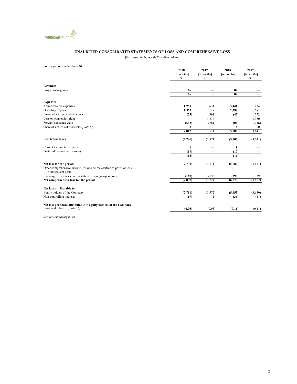

#### UNAUDITED CONSOLIDATED STATEMENTS OF LOSS AND COMPREHENSIVE LOSS

[Expressed in thousands Canadian dollars]

For the periods ended June 30

|                                                                                                | 2018       | 2017                     | 2018            | 2017       |
|------------------------------------------------------------------------------------------------|------------|--------------------------|-----------------|------------|
|                                                                                                | [3 months] | [3 months]               | [6 months]      | [6 months] |
|                                                                                                | S          | S                        | S               | S          |
| <b>Revenues</b>                                                                                |            |                          |                 |            |
| Project management                                                                             | 66         |                          | 82              |            |
|                                                                                                | 66         |                          | $\overline{82}$ |            |
| <b>Expenses</b>                                                                                |            |                          |                 |            |
| Administrative expenses                                                                        | 1,759      | 631                      | 3,441           | 824        |
| Operating expenses                                                                             | 1,575      | 48                       | 2,588           | 781        |
| Financial income and expenses                                                                  | (23)       | 391                      | (42)            | 772        |
| Loss on conversion right                                                                       |            | 1,232                    |                 | 1,950      |
| Foreign exchange gains                                                                         | (502)      | (761)                    | (206)           | (746)      |
| Share of net loss of associates [note 6]                                                       | 3          | 30                       | 6               | 60         |
|                                                                                                | 2,812      | 1,571                    | 5,787           | 3,641      |
| Loss before taxes                                                                              | (2,746)    | (1,571)                  | (5,705)         | (3,641)    |
| Current income tax expense                                                                     | 1          |                          | 1               |            |
| Deferred income tax recovery                                                                   | (17)       |                          | (17)            |            |
|                                                                                                | (16)       | $\overline{\phantom{0}}$ | (16)            |            |
| Net loss for the period                                                                        | (2,730)    | (1,571)                  | (5,689)         | (3,641)    |
| Other comprehensive income (loss) to be reclassified to profit or loss<br>in subsequent years: |            |                          |                 |            |
| Exchange differences on translation of foreign operations                                      | (167)      | (153)                    | (390)           | 39         |
| Net comprehensive loss for the period                                                          | (2,897)    | (1, 724)                 | (6,079)         | (3,602)    |
| Net loss attributable to                                                                       |            |                          |                 |            |
| Equity holders of the Company                                                                  | (2,711)    | (1, 572)                 | (5,653)         | (3,630)    |
| Non-controlling interests                                                                      | (19)       | 1                        | (36)            | (11)       |
| Net loss per share attributable to equity holders of the Company                               |            |                          |                 |            |
| Basic and diluted <i>[note 15]</i>                                                             | (0.05)     | (0.05)                   | (0.11)          | (0.11)     |
|                                                                                                |            |                          |                 |            |

See accompanying notes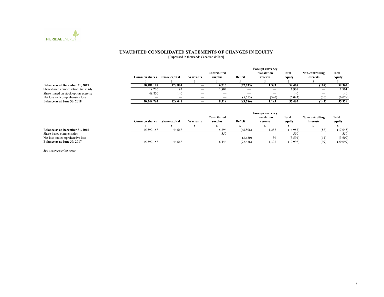

#### UNAUDITED CONSOLIDATED STATEMENTS OF CHANGES IN EQUITY

[Expressed in thousands Canadian dollars]

|                                           |                          | <b>Foreign currency</b>  |                          |                          |           |                          |         |                          |         |
|-------------------------------------------|--------------------------|--------------------------|--------------------------|--------------------------|-----------|--------------------------|---------|--------------------------|---------|
|                                           |                          |                          |                          | Contributed              |           | translation              | Total   | Non-controlling          | Total   |
|                                           | Common shares            | Share capital            | Warrants                 | surplus                  | Deficit   | reserve                  | equity  | interests                | equity  |
|                                           |                          |                          |                          |                          |           |                          |         |                          |         |
| Balance as at December 31, 2017           | 50.481.197               | 128,804                  |                          | 6,715                    | (77, 633) | 1,583                    | 59,469  | (107)                    | 59,362  |
| Share-based compensation <i>[note 14]</i> | 19.766                   | -97                      |                          | 1.804                    |           | $\overline{\phantom{a}}$ | 1.901   | $\overline{\phantom{m}}$ | 1.901   |
| Share issued on stock option exercise     | 48,800                   | 140                      |                          | $\overline{\phantom{a}}$ | __        |                          | 140     | $-$                      | 140     |
| Net loss and comprehensive loss           | $\overline{\phantom{a}}$ | $\overline{\phantom{a}}$ | $\overline{\phantom{a}}$ | $\overline{\phantom{a}}$ | (5,653)   | (390)                    | (6,043) | (36)                     | (6,079) |
| Balance as at June 30, 2018               | 50,549,763               | 129,041                  |                          | 8.519                    | (83, 286) | 1.193                    | 55,467  | (143)                    | 55,324  |

|                                 |                          | Foreign currency         |                          |                          |                                 |             |              |                          |          |
|---------------------------------|--------------------------|--------------------------|--------------------------|--------------------------|---------------------------------|-------------|--------------|--------------------------|----------|
|                                 |                          |                          |                          | Contributed              |                                 | translation | <b>Total</b> | Non-controlling          | Total    |
|                                 | <b>Common shares</b>     | <b>Share capital</b>     | Warrants                 | surplus                  | Deficit                         | reserve     | equity       | interests                | equity   |
|                                 |                          |                          |                          |                          |                                 |             |              |                          |          |
| Balance as at December 31, 2016 | 15,599,158               | 44,668                   | $\overline{\phantom{a}}$ | 5,896                    | (68, 808)                       | 1,287       | (16,957)     | (88)                     | (17,045) |
| Share-based compensation        | $\overline{\phantom{a}}$ | $\overline{\phantom{a}}$ |                          | 550                      | $\hspace{0.1mm}-\hspace{0.1mm}$ |             | 550          | $\overline{\phantom{m}}$ | 550      |
| Net loss and comprehensive loss | $\overline{\phantom{a}}$ | $\overline{\phantom{a}}$ | $\overline{\phantom{a}}$ | $\overline{\phantom{a}}$ | (3,630)                         | 39          | (3,591)      | (11)                     | (3,602)  |
| Balance as at June 30, 2017     | 15,599,158               | 44,668                   | $\overline{\phantom{a}}$ | 6,446                    | (72, 438)                       | 1,326       | (19,998)     | (99)                     | (20,097) |

See accompanying notes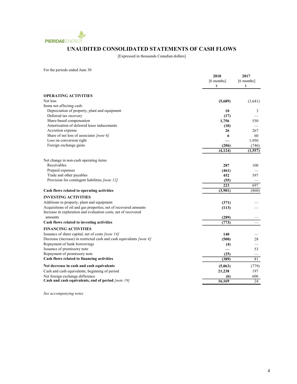

# UNAUDITED CONSOLIDATED STATEMENTS OF CASH FLOWS

[Expressed in thousands Canadian dollars]

For the periods ended June 30

|                                                                      | 2018       | 2017         |
|----------------------------------------------------------------------|------------|--------------|
|                                                                      | [6 months] | $[6$ months] |
|                                                                      | \$         | \$           |
| <b>OPERATING ACTIVITIES</b>                                          |            |              |
| Net loss                                                             | (5,689)    | (3,641)      |
| Items not affecting cash:                                            |            |              |
| Depreciation of property, plant and equipment                        | 10         | 3            |
| Deferred tax recovery                                                | (17)       |              |
| Share-based compensation                                             | 1,756      | 550          |
| Amortization of deferred lease inducements                           | (10)       |              |
| Accretion expense                                                    | 26         | 267          |
| Share of net loss of associates [note 6]                             | 6          | 60           |
| Loss on conversion right                                             |            | 1,950        |
| Foreign exchange gains                                               | (206)      | (746)        |
|                                                                      | (4, 124)   | (1, 557)     |
| Net change in non-cash operating items                               |            |              |
| Receivables                                                          | 287        | 100          |
| Prepaid expenses                                                     | (461)      |              |
| Trade and other payables                                             | 452        | 597          |
| Provision for contingent liabilities [note 12]                       | (55)       |              |
|                                                                      | 223        | 697          |
| Cash flows related to operating activities                           | (3,901)    | (860)        |
| <b>INVESTING ACTIVITIES</b>                                          |            |              |
| Additions to property, plant and equipment                           | (371)      |              |
| Acquisitions of oil and gas properties, net of recovered amounts     | (113)      |              |
| Increase in exploration and evaluation costs, net of recovered       |            |              |
| amounts                                                              | (289)      |              |
| Cash flows related to investing activities                           | (773)      |              |
| <b>FINANCING ACTIVITIES</b>                                          |            |              |
| Issuance of share capital, net of costs [note 14]                    | 140        |              |
| Decrease (increase) in restricted cash and cash equivalents [note 4] | (500)      | 28           |
| Repayment of bank borrowings                                         | (4)        |              |
| Issuance of promissory note                                          |            | 53           |
| Repayment of promissory note                                         | (25)       |              |
| Cash flows related to financing activities                           | (389)      | 81           |
| Net decrease in cash and cash equivalents                            | (5,063)    | (779)        |
| Cash and cash equivalents, beginning of period                       | 21,238     | 197          |
| Net foreign exchange difference                                      | (6)        | 606          |
| Cash and cash equivalents, end of period [note 19]                   | 16,169     | 24           |
|                                                                      |            |              |

See accompanying notes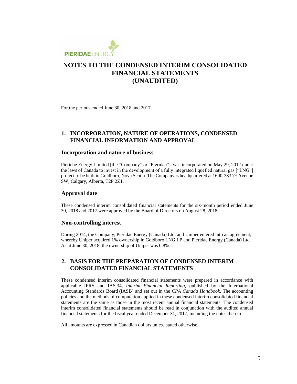

For the periods ended June 30, 2018 and 2017

### **1. INCORPORATION, NATURE OF OPERATIONS, CONDENSED FINANCIAL INFORMATION AND APPROVAL**

#### **Incorporation and nature of business**

Pieridae Energy Limited [the "Company" or "Pieridae"], was incorporated on May 29, 2012 under the laws of Canada to invest in the development of a fully integrated liquefied natural gas ["LNG"] project to be built in Goldboro, Nova Scotia. The Company is headquartered at 1600-333 7<sup>th</sup> Avenue SW, Calgary, Alberta, T2P 2Z1.

### **Approval date**

These condensed interim consolidated financial statements for the six-month period ended June 30, 2018 and 2017 were approved by the Board of Directors on August 28, 2018.

### **Non-controlling interest**

During 2014, the Company, Pieridae Energy (Canada) Ltd. and Uniper entered into an agreement, whereby Uniper acquired 1% ownership in Goldboro LNG LP and Pieridae Energy (Canada) Ltd. As at June 30, 2018, the ownership of Uniper was 0.8%.

### **2. BASIS FOR THE PREPARATION OF CONDENSED INTERIM CONSOLIDATED FINANCIAL STATEMENTS**

These condensed interim consolidated financial statements were prepared in accordance with applicable IFRS and IAS 34, *Interim Financial Reporting*, published by the International Accounting Standards Board (IASB) and set out in the *CPA Canada Handbook*. The accounting policies and the methods of computation applied in these condensed interim consolidated financial statements are the same as those in the most recent annual financial statements. The condensed interim consolidated financial statements should be read in conjunction with the audited annual financial statements for the fiscal year ended December 31, 2017, including the notes thereto.

All amounts are expressed in Canadian dollars unless stated otherwise.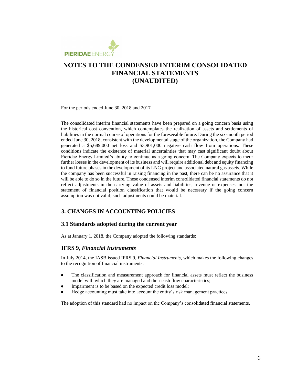

For the periods ended June 30, 2018 and 2017

The consolidated interim financial statements have been prepared on a going concern basis using the historical cost convention, which contemplates the realization of assets and settlements of liabilities in the normal course of operations for the foreseeable future. During the six-month period ended June 30, 2018, consistent with the developmental stage of the organization, the Company had generated a \$5,689,000 net loss and \$3,901,000 negative cash flow from operations. These conditions indicate the existence of material uncertainties that may cast significant doubt about Pieridae Energy Limited's ability to continue as a going concern. The Company expects to incur further losses in the development of its business and will require additional debt and equity financing to fund future phases in the development of its LNG project and associated natural gas assets. While the company has been successful in raising financing in the past, there can be no assurance that it will be able to do so in the future. These condensed interim consolidated financial statements do not reflect adjustments in the carrying value of assets and liabilities, revenue or expenses, nor the statement of financial position classification that would be necessary if the going concern assumption was not valid; such adjustments could be material.

### **3. CHANGES IN ACCOUNTING POLICIES**

### **3.1 Standards adopted during the current year**

As at January 1, 2018, the Company adopted the following standards:

### **IFRS 9,** *Financial Instruments*

In July 2014, the IASB issued IFRS 9, *Financial Instruments*, which makes the following changes to the recognition of financial instruments:

- The classification and measurement approach for financial assets must reflect the business model with which they are managed and their cash flow characteristics;
- Impairment is to be based on the expected credit loss model;
- Hedge accounting must take into account the entity's risk management practices.

The adoption of this standard had no impact on the Company's consolidated financial statements.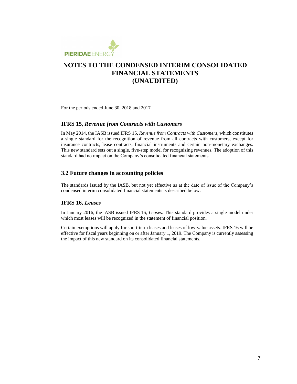

For the periods ended June 30, 2018 and 2017

#### **IFRS 15,** *Revenue from Contracts with Customers*

In May 2014, the IASB issued IFRS 15, *Revenue from Contracts with Customers*, which constitutes a single standard for the recognition of revenue from all contracts with customers, except for insurance contracts, lease contracts, financial instruments and certain non-monetary exchanges. This new standard sets out a single, five-step model for recognizing revenues. The adoption of this standard had no impact on the Company's consolidated financial statements.

### **3.2 Future changes in accounting policies**

The standards issued by the IASB, but not yet effective as at the date of issue of the Company's condensed interim consolidated financial statements is described below.

### **IFRS 16,** *Leases*

In January 2016, the IASB issued IFRS 16, *Leases*. This standard provides a single model under which most leases will be recognized in the statement of financial position.

Certain exemptions will apply for short-term leases and leases of low-value assets. IFRS 16 will be effective for fiscal years beginning on or after January 1, 2019. The Company is currently assessing the impact of this new standard on its consolidated financial statements.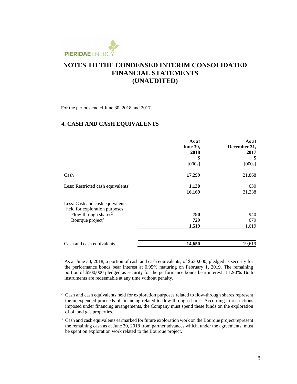

For the periods ended June 30, 2018 and 2017

### **4. CASH AND CASH EQUIVALENTS**

|                                                                  | As at<br><b>June 30,</b><br>2018 | As at<br>December 31,<br>2017 |
|------------------------------------------------------------------|----------------------------------|-------------------------------|
|                                                                  | \$                               | \$                            |
|                                                                  | [000s]                           | [000s]                        |
| Cash                                                             | 17,299                           | 21,868                        |
| Less: Restricted cash equivalents <sup>1</sup>                   | 1,130                            | 630                           |
|                                                                  | 16,169                           | 21,238                        |
| Less: Cash and cash equivalents<br>held for exploration purposes |                                  |                               |
| Flow-through shares <sup>2</sup>                                 | 790                              | 940                           |
| Bourque project <sup>3</sup>                                     | 729                              | 679                           |
|                                                                  | 1,519                            | 1,619                         |
| Cash and cash equivalents                                        | 14,650                           | 19,619                        |

<sup>1</sup> As at June 30, 2018, a portion of cash and cash equivalents, of \$630,000, pledged as security for the performance bonds bear interest at 0.95% maturing on February 1, 2019. The remaining portion of \$500,000 pledged as security for the performance bonds bear interest at 1.90%. Both instruments are redeemable at any time without penalty.

<sup>2</sup> Cash and cash equivalents held for exploration purposes related to flow-through shares represent the unexpended proceeds of financing related to flow-through shares. According to restrictions imposed under financing arrangements, the Company must spend these funds on the exploration of oil and gas properties.

<sup>3</sup> Cash and cash equivalents earmarked for future exploration work on the Bourque project represent the remaining cash as at June 30, 2018 from partner advances which, under the agreements, must be spent on exploration work related to the Bourque project.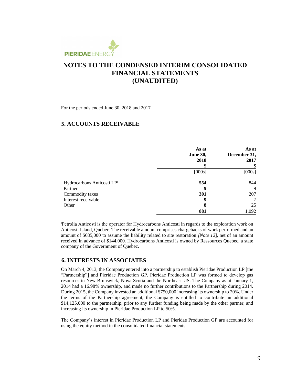

For the periods ended June 30, 2018 and 2017

### **5. ACCOUNTS RECEIVABLE**

|                            | As at<br><b>June 30,</b><br>2018<br>\$ | As at<br>December 31,<br>2017<br>\$ |
|----------------------------|----------------------------------------|-------------------------------------|
|                            | [000s]                                 | [000s]                              |
| Hydrocarbons Anticosti LPI | 554                                    | 844                                 |
| Partner                    | 9                                      | 9                                   |
| Commodity taxes            | 301                                    | 207                                 |
| Interest receivable        | 9                                      | 7                                   |
| Other                      | 8                                      | 25                                  |
|                            | 881                                    | 1,092                               |

Petrolia Anticosti is the operator for Hydrocarbons Anticosti in regards to the exploration work on Anticosti Island, Quebec. The receivable amount comprises chargebacks of work performed and an amount of \$685,000 to assume the liability related to site restoration *[Note 12*], net of an amount received in advance of \$144,000*.* Hydrocarbons Anticosti is owned by Ressources Quebec, a state company of the Government of Quebec.

### **6. INTERESTS IN ASSOCIATES**

On March 4, 2013, the Company entered into a partnership to establish Pieridae Production LP [the "Partnership"] and Pieridae Production GP. Pieridae Production LP was formed to develop gas resources in New Brunswick, Nova Scotia and the Northeast US. The Company as at January 1, 2014 had a 16.98% ownership, and made no further contributions to the Partnership during 2014. During 2015, the Company invested an additional \$750,000 increasing its ownership to 20%. Under the terms of the Partnership agreement, the Company is entitled to contribute an additional \$14,125,000 to the partnership, prior to any further funding being made by the other partner, and increasing its ownership in Pieridae Production LP to 50%.

The Company's interest in Pieridae Production LP and Pieridae Production GP are accounted for using the equity method in the consolidated financial statements.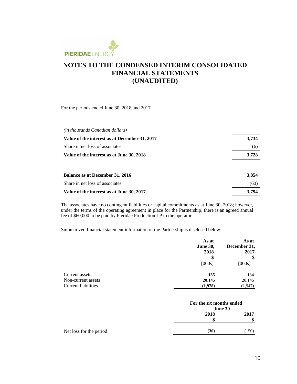

For the periods ended June 30, 2018 and 2017

| (in thousands Canadian dollars)               |       |
|-----------------------------------------------|-------|
| Value of the interest as at December 31, 2017 | 3,734 |
| Share in net loss of associates               | (6)   |
| Value of the interest as at June 30, 2018     | 3,728 |
| <b>Balance as at December 31, 2016</b>        | 3,854 |
| Share in net loss of associates               | (60)  |
| Value of the interest as at June 30, 2017     | 3,794 |

The associates have no contingent liabilities or capital commitments as at June 30, 2018; however, under the terms of the operating agreement in place for the Partnership, there is an agreed annual fee of \$60,000 to be paid by Pieridae Production LP to the operator.

Summarized financial statement information of the Partnership is disclosed below:

|                            | As at<br><b>June 30,</b><br>2018<br>S | As at<br>December 31,<br>2017<br>\$ |
|----------------------------|---------------------------------------|-------------------------------------|
|                            | [000s]                                | [000s]                              |
| Current assets             | 135                                   | 134                                 |
| Non-current assets         | 20,145                                | 20,145                              |
| <b>Current liabilities</b> | (1,978)                               | (1,947)                             |

|                         | For the six months ended<br>June 30 |       |
|-------------------------|-------------------------------------|-------|
|                         | 2018                                | 2017  |
|                         | S                                   |       |
| Net loss for the period | (30)                                | (150) |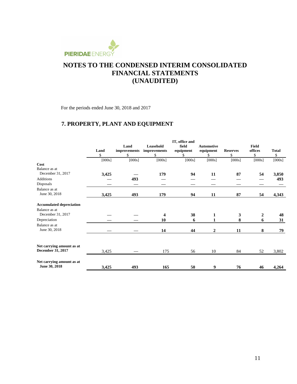

For the periods ended June 30, 2018 and 2017

# **7. PROPERTY, PLANT AND EQUIPMENT**

|                                 |        |              |                         | IT, office and |                   |                 |              |              |
|---------------------------------|--------|--------------|-------------------------|----------------|-------------------|-----------------|--------------|--------------|
|                                 |        | Land         | Leasehold               | field          | <b>Automotive</b> |                 | <b>Field</b> |              |
|                                 | Land   | improvements | improvements            | equipment      | equipment         | <b>Reserves</b> | offices      | <b>Total</b> |
|                                 | \$     | \$           | \$                      | S              | S                 | \$              | \$           | \$           |
|                                 | [000s] | [000s]       | [000s]                  | [000s]         | [000s]            | [000s]          | [000s]       | [000s]       |
| Cost                            |        |              |                         |                |                   |                 |              |              |
| Balance as at                   |        |              |                         |                |                   |                 |              |              |
| December 31, 2017               | 3,425  |              | 179                     | 94             | 11                | 87              | 54           | 3,850        |
| Additions                       |        | 493          |                         |                |                   |                 |              | 493          |
| Disposals                       |        |              |                         |                |                   |                 |              |              |
| Balance as at                   |        |              |                         |                |                   |                 |              |              |
| June 30, 2018                   | 3,425  | 493          | 179                     | 94             | 11                | 87              | 54           | 4,343        |
| <b>Accumulated depreciation</b> |        |              |                         |                |                   |                 |              |              |
| Balance as at                   |        |              |                         |                |                   |                 |              |              |
| December 31, 2017               |        |              | $\overline{\mathbf{4}}$ | 38             | $\mathbf{1}$      | 3               | 2            | 48           |
| Depreciation                    |        |              | 10                      | 6              |                   | 8               | 6            | 31           |
| Balance as at                   |        |              |                         |                |                   |                 |              |              |
| June 30, 2018                   |        |              | 14                      | 44             | $\overline{2}$    | 11              | 8            | 79           |
|                                 |        |              |                         |                |                   |                 |              |              |
| Net carrying amount as at       |        |              |                         |                |                   |                 |              |              |
| December 31, 2017               | 3,425  |              | 175                     | 56             | 10                | 84              | 52           | 3,802        |
| Net carrying amount as at       |        |              |                         |                |                   |                 |              |              |
| June 30, 2018                   | 3,425  | 493          | 165                     | 50             | 9                 | 76              | 46           | 4,264        |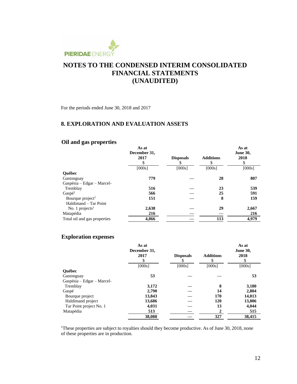

For the periods ended June 30, 2018 and 2017

### **8. EXPLORATION AND EVALUATION ASSETS**

## **Oil and gas properties**

|                              | As at<br>December 31, |                  |                  | As at<br><b>June 30,</b> |
|------------------------------|-----------------------|------------------|------------------|--------------------------|
|                              | 2017                  | <b>Disposals</b> | <b>Additions</b> | 2018                     |
|                              |                       |                  | S                | \$                       |
|                              | [000s]                | [000s]           | [000s]           | [000s]                   |
| <b>Ouébec</b>                |                       |                  |                  |                          |
| Gastonguay                   | 779                   |                  | 28               | 807                      |
| Gaspésia - Edgar - Marcel-   |                       |                  |                  |                          |
| Tremblay                     | 516                   |                  | 23               | 539                      |
| Gaspé <sup>1</sup>           | 566                   |                  | 25               | 591                      |
| Bourque project <sup>1</sup> | 151                   |                  | 8                | 159                      |
| Haldimand - Tar Point        |                       |                  |                  |                          |
| No. 1 projects $1$           | 2,638                 |                  | 29               | 2,667                    |
| Matapédia                    | 216                   |                  |                  | 216                      |
| Total oil and gas properties | 4,866                 |                  | 113              | 4,979                    |

### **Exploration expenses**

|                              | As at<br>December 31, |                  |                  | As at<br><b>June 30,</b> |
|------------------------------|-----------------------|------------------|------------------|--------------------------|
|                              | 2017                  | <b>Disposals</b> | <b>Additions</b> | 2018                     |
|                              | \$                    |                  | S                | S                        |
|                              | [000s]                | [000s]           | [000s]           | [000s]                   |
| <b>Ouébec</b>                |                       |                  |                  |                          |
| Gastonguay                   | 53                    |                  |                  | 53                       |
| $Gaspésia - Edgar - Marcel-$ |                       |                  |                  |                          |
| Tremblay                     | 3,172                 |                  | 8                | 3,180                    |
| Gaspé                        | 2,790                 |                  | 14               | 2,804                    |
| Bourque project              | 13,843                |                  | 170              | 14,013                   |
| Haldimand project            | 13,686                |                  | 120              | 13,806                   |
| Tar Point project No. 1      | 4,031                 |                  | 13               | 4,044                    |
| Matapédia                    | 513                   |                  |                  | 515                      |
|                              | 38,088                |                  | 327              | 38.415                   |

<sup>1</sup>These properties are subject to royalties should they become productive. As of June 30, 2018, none of these properties are in production.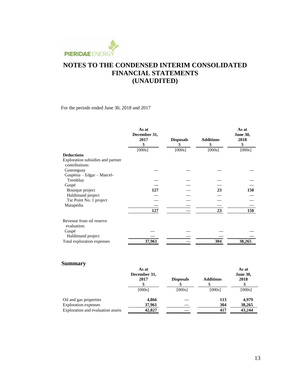

For the periods ended June 30, 2018 and 2017

|                                         | As at<br>December 31,<br>2017<br>\$ | <b>Disposals</b><br>S | <b>Additions</b><br>\$ | As at<br><b>June 30,</b><br>2018<br>\$ |
|-----------------------------------------|-------------------------------------|-----------------------|------------------------|----------------------------------------|
|                                         | [000s]                              | [000s]                | [000s]                 | [000s]                                 |
| <b>Deductions</b>                       |                                     |                       |                        |                                        |
| Exploration subsidies and partner       |                                     |                       |                        |                                        |
| contributions:                          |                                     |                       |                        |                                        |
| Gastonguay                              |                                     |                       |                        |                                        |
| Gaspésia – Edgar – Marcel-              |                                     |                       |                        |                                        |
| Tremblay                                |                                     |                       |                        |                                        |
| Gaspé                                   |                                     |                       |                        |                                        |
| Bourque project                         | 127                                 |                       | 23                     | 150                                    |
| Haldimand project                       |                                     |                       |                        |                                        |
| Tar Point No. 1 project                 |                                     |                       |                        |                                        |
| Matapédia                               |                                     |                       |                        |                                        |
|                                         | 127                                 |                       | 23                     | 150                                    |
| Revenue from oil reserve<br>evaluation: |                                     |                       |                        |                                        |
| Gaspé                                   |                                     |                       |                        |                                        |
| Haldimand project                       |                                     |                       |                        |                                        |
| Total exploration expenses              | 37,961                              |                       | 304                    | 38,265                                 |

## **Summary**

| [000s] | [000s] | [000s]           |
|--------|--------|------------------|
|        | 113    | 4,979            |
|        | 417    | 38,265<br>43,244 |
|        |        | 304              |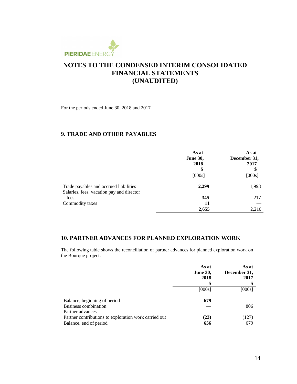

For the periods ended June 30, 2018 and 2017

### **9. TRADE AND OTHER PAYABLES**

|                                                                                     | As at<br><b>June 30,</b><br>2018<br>S | As at<br>December 31,<br>2017<br>\$ |
|-------------------------------------------------------------------------------------|---------------------------------------|-------------------------------------|
|                                                                                     | [000s]                                | [000s]                              |
| Trade payables and accrued liabilities<br>Salaries, fees, vacation pay and director | 2,299                                 | 1,993                               |
| fees                                                                                | 345                                   | 217                                 |
| Commodity taxes                                                                     | 11                                    |                                     |
|                                                                                     | 2,655                                 | 2,210                               |

### **10. PARTNER ADVANCES FOR PLANNED EXPLORATION WORK**

The following table shows the reconciliation of partner advances for planned exploration work on the Bourque project:

|                                                       | As at           | As at        |
|-------------------------------------------------------|-----------------|--------------|
|                                                       | <b>June 30,</b> | December 31, |
|                                                       | 2018            | 2017         |
|                                                       |                 |              |
|                                                       | [000s]          | [000s]       |
| Balance, beginning of period                          | 679             |              |
| Business combination                                  |                 | 806          |
| Partner advances                                      |                 |              |
| Partner contributions to exploration work carried out | (23)            | (127)        |
| Balance, end of period                                | 656             | 679          |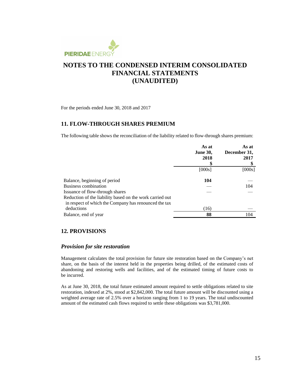

For the periods ended June 30, 2018 and 2017

### **11. FLOW-THROUGH SHARES PREMIUM**

The following table shows the reconciliation of the liability related to flow-through shares premium:

|                                                          | As at<br><b>June 30,</b><br>2018 | As at<br>December 31,<br>2017 |
|----------------------------------------------------------|----------------------------------|-------------------------------|
|                                                          | [000s]                           | [000s]                        |
| Balance, beginning of period                             | 104                              |                               |
| Business combination                                     |                                  | 104                           |
| Issuance of flow-through shares                          |                                  |                               |
| Reduction of the liability based on the work carried out |                                  |                               |
| in respect of which the Company has renounced the tax    |                                  |                               |
| deductions                                               | (16)                             |                               |
| Balance, end of year                                     | 88                               | 104                           |

### **12. PROVISIONS**

#### *Provision for site restoration*

Management calculates the total provision for future site restoration based on the Company's net share, on the basis of the interest held in the properties being drilled, of the estimated costs of abandoning and restoring wells and facilities, and of the estimated timing of future costs to be incurred.

As at June 30, 2018, the total future estimated amount required to settle obligations related to site restoration, indexed at 2%, stood at \$2,842,000. The total future amount will be discounted using a weighted average rate of 2.5% over a horizon ranging from 1 to 19 years. The total undiscounted amount of the estimated cash flows required to settle these obligations was \$3,781,000.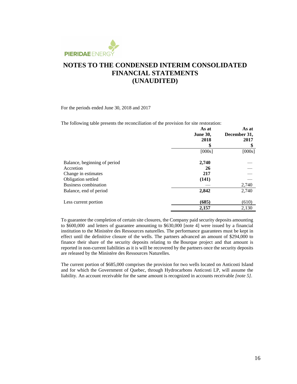

For the periods ended June 30, 2018 and 2017

The following table presents the reconciliation of the provision for site restoration:

|                              | As at           | As at        |
|------------------------------|-----------------|--------------|
|                              | <b>June 30,</b> | December 31, |
|                              | 2018            | 2017         |
|                              | \$              | \$           |
|                              | [000s]          | [000s]       |
| Balance, beginning of period | 2,740           |              |
| Accretion                    | 26              |              |
| Change in estimates          | 217             |              |
| Obligation settled           | (141)           |              |
| Business combination         |                 | 2,740        |
| Balance, end of period       | 2,842           | 2,740        |
| Less current portion         | (685)           | (610)        |
|                              | 2,157           | 2,130        |

To guarantee the completion of certain site closures, the Company paid security deposits amounting to \$600,000 and letters of guarantee amounting to \$630,000 [note 4] were issued by a financial institution to the Ministère des Ressources naturelles. The performance guarantees must be kept in effect until the definitive closure of the wells. The partners advanced an amount of \$294,000 to finance their share of the security deposits relating to the Bourque project and that amount is reported in non-current liabilities as it is will be recovered by the partners once the security deposits are released by the Ministère des Ressources Naturelles.

The current portion of \$685,000 comprises the provision for two wells located on Anticosti Island and for which the Government of Quebec, through Hydrocarbons Anticosti LP, will assume the liability. An account receivable for the same amount is recognized in accounts receivable *[note 5]*.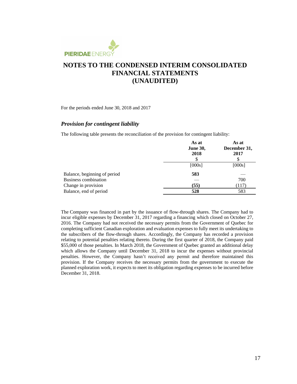

For the periods ended June 30, 2018 and 2017

#### *Provision for contingent liability*

The following table presents the reconciliation of the provision for contingent liability:

|                                                      | As at<br><b>June 30,</b><br>2018 | As at<br>December 31,<br>2017 |
|------------------------------------------------------|----------------------------------|-------------------------------|
|                                                      | \$<br>[000s]                     | \$<br>[000s]                  |
| Balance, beginning of period<br>Business combination | 583                              | 700                           |
| Change in provision                                  | (55)                             | (117)                         |
| Balance, end of period                               | 528                              | 583                           |

The Company was financed in part by the issuance of flow-through shares. The Company had to incur eligible expenses by December 31, 2017 regarding a financing which closed on October 27, 2016. The Company had not received the necessary permits from the Government of Quebec for completing sufficient Canadian exploration and evaluation expenses to fully meet its undertaking to the subscribers of the flow-through shares. Accordingly, the Company has recorded a provision relating to potential penalties relating thereto. During the first quarter of 2018, the Company paid \$55,000 of those penalties. In March 2018, the Government of Quebec granted an additional delay which allows the Company until December 31, 2018 to incur the expenses without provincial penalties. However, the Company hasn't received any permit and therefore maintained this provision. If the Company receives the necessary permits from the government to execute the planned exploration work, it expects to meet its obligation regarding expenses to be incurred before December 31, 2018.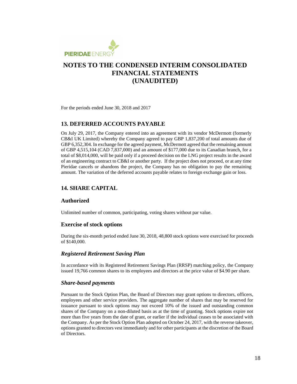

For the periods ended June 30, 2018 and 2017

### **13. DEFERRED ACCOUNTS PAYABLE**

On July 29, 2017, the Company entered into an agreement with its vendor McDermott (formerly CB&I UK Limited) whereby the Company agreed to pay GBP 1,837,200 of total amounts due of GBP 6,352,304. In exchange for the agreed payment, McDermott agreed that the remaining amount of GBP 4,515,104 (CAD 7,837,000) and an amount of \$177,000 due to its Canadian branch, for a total of \$8,014,000, will be paid only if a proceed decision on the LNG project results in the award of an engineering contract to CB&I or another party. If the project does not proceed, or at any time Pieridae cancels or abandons the project, the Company has no obligation to pay the remaining amount. The variation of the deferred accounts payable relates to foreign exchange gain or loss.

### **14. SHARE CAPITAL**

#### **Authorized**

Unlimited number of common, participating, voting shares without par value.

#### **Exercise of stock options**

During the six-month period ended June 30, 2018, 48,800 stock options were exercised for proceeds of \$140,000.

#### *Registered Retirement Saving Plan*

In accordance with its Registered Retirement Savings Plan (RRSP) matching policy, the Company issued 19,766 common shares to its employees and directors at the price value of \$4.90 per share.

#### *Share-based payments*

Pursuant to the Stock Option Plan, the Board of Directors may grant options to directors, officers, employees and other service providers. The aggregate number of shares that may be reserved for issuance pursuant to stock options may not exceed 10% of the issued and outstanding common shares of the Company on a non-diluted basis as at the time of granting. Stock options expire not more than five years from the date of grant, or earlier if the individual ceases to be associated with the Company. As per the Stock Option Plan adopted on October 24, 2017, with the reverse takeover, options granted to directors vest immediately and for other participants at the discretion of the Board of Directors.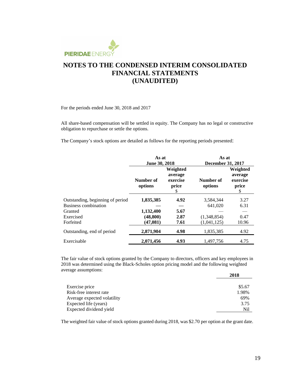

For the periods ended June 30, 2018 and 2017

All share-based compensation will be settled in equity. The Company has no legal or constructive obligation to repurchase or settle the options.

The Company's stock options are detailed as follows for the reporting periods presented:

|                                  |                      | As at<br>June 30, 2018                         |                      | As at<br>December 31, 2017                    |  |
|----------------------------------|----------------------|------------------------------------------------|----------------------|-----------------------------------------------|--|
|                                  | Number of<br>options | Weighted<br>average<br>exercise<br>price<br>\$ | Number of<br>options | Weighted<br>average<br>exercise<br>price<br>S |  |
| Outstanding, beginning of period | 1,835,385            | 4.92                                           | 3,584,344            | 3.27                                          |  |
| Business combination             |                      |                                                | 641,020              | 6.31                                          |  |
| Granted                          | 1,132,400            | 5.67                                           |                      |                                               |  |
| Exercised                        | (48, 800)            | 2.87                                           | (1,348,854)          | 0.47                                          |  |
| Forfeited                        | (47, 081)            | 7.61                                           | (1,041,125)          | 10.96                                         |  |
| Outstanding, end of period       | 2,871,904            | 4.98                                           | 1,835,385            | 4.92                                          |  |
| Exercisable                      | 2,071,456            | 4.93                                           | 1,497,756            | 4.75                                          |  |

The fair value of stock options granted by the Company to directors, officers and key employees in 2018 was determined using the Black-Scholes option pricing model and the following weighted average assumptions:

|                             | 2018   |
|-----------------------------|--------|
|                             |        |
| Exercise price              | \$5.67 |
| Risk-free interest rate     | 1.98%  |
| Average expected volatility | 69%    |
| Expected life (years)       | 3.75   |
| Expected dividend yield     | Nil    |

The weighted fair value of stock options granted during 2018, was \$2.70 per option at the grant date.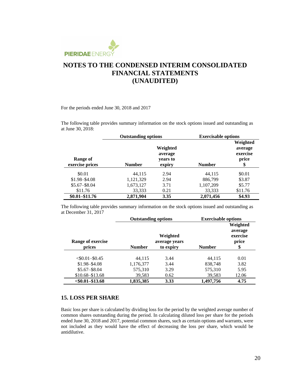

For the periods ended June 30, 2018 and 2017

The following table provides summary information on the stock options issued and outstanding as at June 30, 2018:

|                             | <b>Outstanding options</b> |                                           | <b>Exercisable options</b> |                                                |
|-----------------------------|----------------------------|-------------------------------------------|----------------------------|------------------------------------------------|
| Range of<br>exercise prices | <b>Number</b>              | Weighted<br>average<br>years to<br>expiry | <b>Number</b>              | Weighted<br>average<br>exercise<br>price<br>\$ |
|                             |                            |                                           |                            |                                                |
| \$0.01                      | 44.115                     | 2.94                                      | 44.115                     | \$0.01                                         |
| $$1.98 - $4.08$             | 1,121,329                  | 2.94                                      | 886,799                    | \$3.87                                         |
| $$5.67 - $8.04$             | 1,673,127                  | 3.71                                      | 1,107,209                  | \$5.77                                         |
| \$11.76                     | 33,333                     | 0.21                                      | 33,333                     | \$11.76                                        |
| $$0.01 - $11.76$            | 2,871,904                  | 3.35                                      | 2,071,456                  | \$4.93                                         |

The following table provides summary information on the stock options issued and outstanding as at December 31, 2017

|                    | <b>Outstanding options</b> |                           | <b>Exercisable options</b> |                                          |  |
|--------------------|----------------------------|---------------------------|----------------------------|------------------------------------------|--|
| Range of exercise  |                            | Weighted<br>average years |                            | Weighted<br>average<br>exercise<br>price |  |
| prices             | <b>Number</b>              | to expiry                 | <b>Number</b>              | \$                                       |  |
| $< $0.01 - $0.45$  | 44.115                     | 3.44                      | 44,115                     | 0.01                                     |  |
| $$1.98 - $4.08$    | 1,176,377                  | 3.44                      | 838,748                    | 3.82                                     |  |
| $$5.67 - $8.04$    | 575,310                    | 3.29                      | 575,310                    | 5.95                                     |  |
| $$10.68 - $13.68$  | 39,583                     | 0.62                      | 39,583                     | 12.06                                    |  |
| $<$ \$0.01-\$13.68 | 1,835,385                  | 3.33                      | 1.497.756                  | 4.75                                     |  |

### **15. LOSS PER SHARE**

Basic loss per share is calculated by dividing loss for the period by the weighted average number of common shares outstanding during the period. In calculating diluted loss per share for the periods ended June 30, 2018 and 2017, potential common shares, such as certain options and warrants, were not included as they would have the effect of decreasing the loss per share, which would be antidilutive.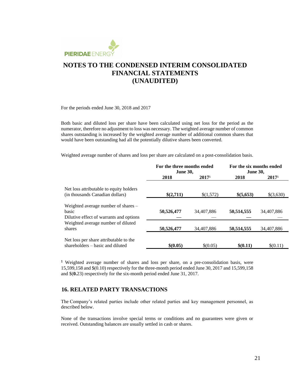

For the periods ended June 30, 2018 and 2017

Both basic and diluted loss per share have been calculated using net loss for the period as the numerator, therefore no adjustment to loss was necessary. The weighted average number of common shares outstanding is increased by the weighted average number of additional common shares that would have been outstanding had all the potentially dilutive shares been converted.

Weighted average number of shares and loss per share are calculated on a post-consolidation basis.

|                                                                                           | For the three months ended<br><b>June 30,</b> |                   | For the six months ended<br><b>June 30,</b> |                   |
|-------------------------------------------------------------------------------------------|-----------------------------------------------|-------------------|---------------------------------------------|-------------------|
|                                                                                           | 2018                                          | 2017 <sup>1</sup> | 2018                                        | 2017 <sup>1</sup> |
| Net loss attributable to equity holders<br>(in thousands Canadian dollars)                | \$(2,711)                                     | \$(1,572)         | \$(5,653)                                   | \$(3,630)         |
| Weighted average number of shares $-$<br>basic<br>Dilutive effect of warrants and options | 50,526,477                                    | 34,407,886        | 50,514,555                                  | 34,407,886        |
| Weighted average number of diluted<br>shares                                              | 50,526,477                                    | 34,407,886        | 50,514,555                                  | 34,407,886        |
| Net loss per share attributable to the<br>shareholders – basic and diluted                | \$(0.05)                                      | \$(0.05)          | \$(0.11)                                    | \$(0.11)          |

<sup>1</sup> Weighted average number of shares and loss per share, on a pre-consolidation basis, were 15,599,158 and \$(0.10) respectively for the three-month period ended June 30, 2017 and 15,599,158 and \$(**0.**23) respectively for the six-month period ended June 31, 2017.

### **16. RELATED PARTY TRANSACTIONS**

The Company's related parties include other related parties and key management personnel, as described below.

None of the transactions involve special terms or conditions and no guarantees were given or received. Outstanding balances are usually settled in cash or shares.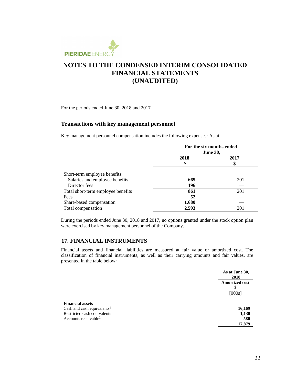

For the periods ended June 30, 2018 and 2017

#### **Transactions with key management personnel**

Key management personnel compensation includes the following expenses: As at

|                                    | For the six months ended<br><b>June 30,</b> |      |  |
|------------------------------------|---------------------------------------------|------|--|
|                                    | 2018<br>S                                   | 2017 |  |
| Short-term employee benefits:      |                                             |      |  |
| Salaries and employee benefits     | 665                                         | 201  |  |
| Director fees                      | 196                                         |      |  |
| Total short-term employee benefits | 861                                         | 201  |  |
| Fees                               | 52                                          |      |  |
| Share-based compensation           | 1,680                                       |      |  |
| Total compensation                 | 2,593                                       | 201  |  |

During the periods ended June 30, 2018 and 2017, no options granted under the stock option plan were exercised by key management personnel of the Company.

#### **17. FINANCIAL INSTRUMENTS**

Financial assets and financial liabilities are measured at fair value or amortized cost. The classification of financial instruments, as well as their carrying amounts and fair values, are presented in the table below:

|                                        | As at June 30,<br>2018     |
|----------------------------------------|----------------------------|
|                                        | <b>Amortized cost</b><br>S |
|                                        | [000s]                     |
| <b>Financial assets</b>                |                            |
| Cash and cash equivalents <sup>1</sup> | 16,169                     |
| Restricted cash equivalents            | 1,130                      |
| Accounts receivable <sup>2</sup>       | 580                        |
|                                        | 17,879                     |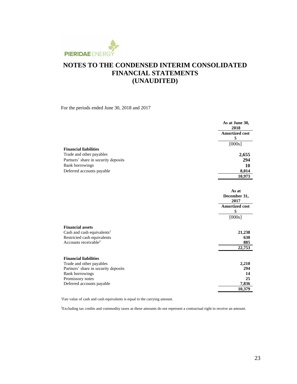

For the periods ended June 30, 2018 and 2017

| <b>Financial liabilities</b><br>Trade and other payables<br>Partners' share in security deposits<br><b>Bank borrowings</b><br>Deferred accounts payable | As at June 30,<br>2018<br><b>Amortized cost</b><br>\$<br>[000s]<br>2,655<br>294<br>10<br>8,014<br>10,973 |
|---------------------------------------------------------------------------------------------------------------------------------------------------------|----------------------------------------------------------------------------------------------------------|
|                                                                                                                                                         | As at<br>December 31,<br>2017<br><b>Amortized cost</b><br>\$<br>[000s]                                   |
| <b>Financial assets</b>                                                                                                                                 | 21,238                                                                                                   |
| Cash and cash equivalents <sup>1</sup>                                                                                                                  | 630                                                                                                      |
| Restricted cash equivalents                                                                                                                             | 885                                                                                                      |
| Accounts receivable <sup>2</sup>                                                                                                                        | 22,753                                                                                                   |
| <b>Financial liabilities</b>                                                                                                                            | 2,210                                                                                                    |
| Trade and other payables                                                                                                                                | 294                                                                                                      |
| Partners' share in security deposits                                                                                                                    | 14                                                                                                       |
| <b>Bank borrowings</b>                                                                                                                                  | 25                                                                                                       |
| Promissory notes                                                                                                                                        | 7,836                                                                                                    |
| Deferred accounts payable                                                                                                                               | 10,379                                                                                                   |

<sup>1</sup>Fair value of cash and cash equivalents is equal to the carrying amount.

2Excluding tax credits and commodity taxes as these amounts do not represent a contractual right to receive an amount.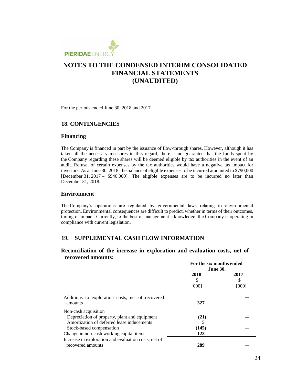

For the periods ended June 30, 2018 and 2017

### **18. CONTINGENCIES**

#### **Financing**

The Company is financed in part by the issuance of flow-through shares. However, although it has taken all the necessary measures in this regard, there is no guarantee that the funds spent by the Company regarding these shares will be deemed eligible by tax authorities in the event of an audit. Refusal of certain expenses by the tax authorities would have a negative tax impact for investors. As at June 30, 2018, the balance of eligible expenses to be incurred amounted to \$790,000 [December 31, 2017 – \$940,000]. The eligible expenses are to be incurred no later than December 31, 2018.

#### **Environment**

The Company's operations are regulated by governmental laws relating to environmental protection. Environmental consequences are difficult to predict, whether in terms of their outcomes, timing or impact. Currently, to the best of management's knowledge, the Company is operating in compliance with current legislation.

### **19. SUPPLEMENTAL CASH FLOW INFORMATION**

### **Reconciliation of the increase in exploration and evaluation costs, net of recovered amounts:**

|                                                      | For the six months ended<br><b>June 30,</b> |       |
|------------------------------------------------------|---------------------------------------------|-------|
|                                                      | 2018                                        | 2017  |
|                                                      | S                                           | \$    |
|                                                      | [000]                                       | [000] |
| Additions to exploration costs, net of recovered     |                                             |       |
| amounts                                              | 327                                         |       |
| Non-cash acquisition                                 |                                             |       |
| Depreciation of property, plant and equipment        | (21)                                        |       |
| Amortization of deferred lease inducements           | 5                                           |       |
| Stock-based compensation                             | (145)                                       |       |
| Change in non-cash working capital items             | 123                                         |       |
| Increase in exploration and evaluation costs, net of |                                             |       |
| recovered amounts                                    | 289                                         |       |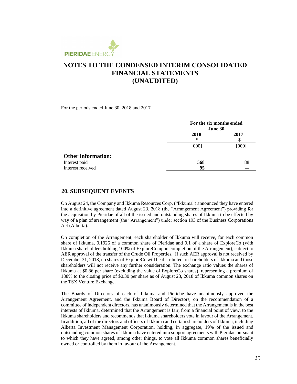

For the periods ended June 30, 2018 and 2017

|                           |           | For the six months ended<br><b>June 30,</b> |  |  |
|---------------------------|-----------|---------------------------------------------|--|--|
|                           | 2018<br>S | 2017<br>S                                   |  |  |
|                           | [000]     | [000]                                       |  |  |
| <b>Other information:</b> |           |                                             |  |  |
| Interest paid             | 568       | 88                                          |  |  |
| Interest received         | 95        |                                             |  |  |

#### **20. SUBSEQUENT EVENTS**

On August 24, the Company and Ikkuma Resources Corp. ("Ikkuma") announced they have entered into a definitive agreement dated August 23, 2018 (the "Arrangement Agreement") providing for the acquisition by Pieridae of all of the issued and outstanding shares of Ikkuma to be effected by way of a plan of arrangement (the "Arrangement") under section 193 of the Business Corporations Act (Alberta).

On completion of the Arrangement, each shareholder of Ikkuma will receive, for each common share of Ikkuma, 0.1926 of a common share of Pieridae and 0.1 of a share of ExploreCo (with Ikkuma shareholders holding 100% of ExploreCo upon completion of the Arrangement), subject to AER approval of the transfer of the Crude Oil Properties. If such AER approval is not received by December 31, 2018, no shares of ExploreCo will be distributed to shareholders of Ikkuma and those shareholders will not receive any further consideration. The exchange ratio values the shares of Ikkuma at \$0.86 per share (excluding the value of ExploreCo shares), representing a premium of 188% to the closing price of \$0.30 per share as of August 23, 2018 of Ikkuma common shares on the TSX Venture Exchange.

The Boards of Directors of each of Ikkuma and Pieridae have unanimously approved the Arrangement Agreement, and the Ikkuma Board of Directors, on the recommendation of a committee of independent directors, has unanimously determined that the Arrangement is in the best interests of Ikkuma, determined that the Arrangement is fair, from a financial point of view, to the Ikkuma shareholders and recommends that Ikkuma shareholders vote in favour of the Arrangement. In addition, all of the directors and officers of Ikkuma and certain shareholders of Ikkuma, including Alberta Investment Management Corporation, holding, in aggregate, 19% of the issued and outstanding common shares of Ikkuma have entered into support agreements with Pieridae pursuant to which they have agreed, among other things, to vote all Ikkuma common shares beneficially owned or controlled by them in favour of the Arrangement.